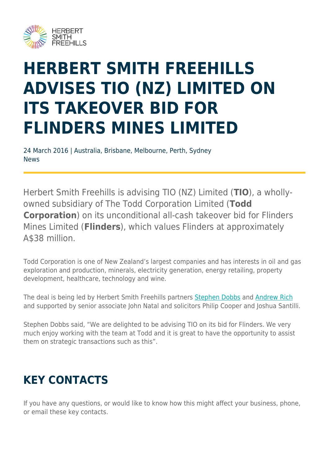

## **HERBERT SMITH FREEHILLS ADVISES TIO (NZ) LIMITED ON ITS TAKEOVER BID FOR FLINDERS MINES LIMITED**

24 March 2016 | Australia, Brisbane, Melbourne, Perth, Sydney News

Herbert Smith Freehills is advising TIO (NZ) Limited (**TIO**), a whollyowned subsidiary of The Todd Corporation Limited (**Todd Corporation**) on its unconditional all-cash takeover bid for Flinders Mines Limited (**Flinders**), which values Flinders at approximately A\$38 million.

Todd Corporation is one of New Zealand's largest companies and has interests in oil and gas exploration and production, minerals, electricity generation, energy retailing, property development, healthcare, technology and wine.

The deal is being led by Herbert Smith Freehills partners [Stephen Dobbs](https://www.herbertsmithfreehills.com/node/5436) and [Andrew Rich](https://www.herbertsmithfreehills.com/our-people/andrew-rich) and supported by senior associate John Natal and solicitors Philip Cooper and Joshua Santilli.

Stephen Dobbs said, "We are delighted to be advising TIO on its bid for Flinders. We very much enjoy working with the team at Todd and it is great to have the opportunity to assist them on strategic transactions such as this".

## **KEY CONTACTS**

If you have any questions, or would like to know how this might affect your business, phone, or email these key contacts.